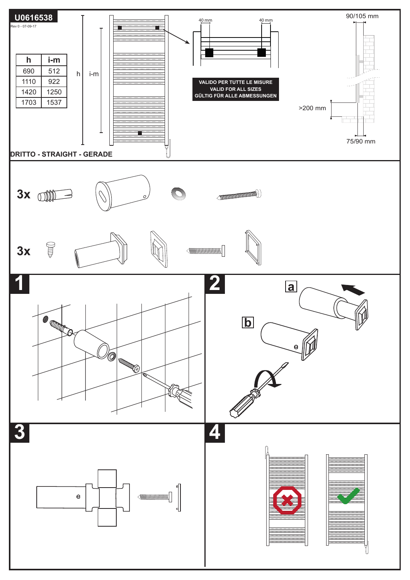